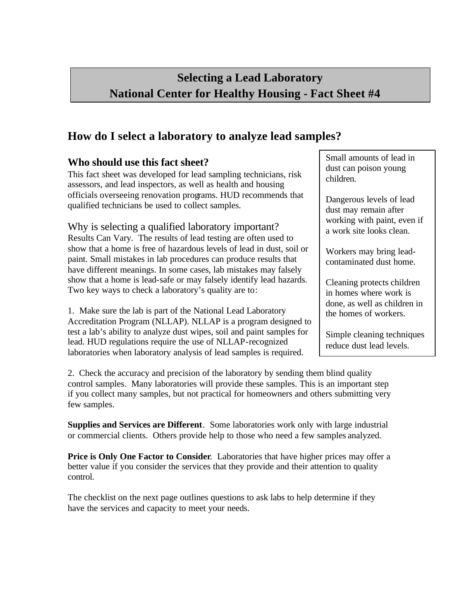## **Selecting a Lead Laboratory National Center for Healthy Housing - Fact Sheet #4**

## **How do I select a laboratory to analyze lead samples?**

## **Who should use this fact sheet?**

This fact sheet was developed for lead sampling technicians, risk assessors, and lead inspectors, as well as health and housing officials overseeing renovation programs. HUD recommends that qualified technicians be used to collect samples.

Why is selecting a qualified laboratory important?

Results Can Vary. The results of lead testing are often used to show that a home is free of hazardous levels of lead in dust, soil or paint. Small mistakes in lab procedures can produce results that have different meanings. In some cases, lab mistakes may falsely show that a home is lead-safe or may falsely identify lead hazards. Two key ways to check a laboratory's quality are to:

1. Make sure the lab is part of the National Lead Laboratory Accreditation Program (NLLAP). NLLAP is a program designed to test a lab's ability to analyze dust wipes, soil and paint samples for lead. HUD regulations require the use of NLLAP-recognized laboratories when laboratory analysis of lead samples is required.

Small amounts of lead in dust can poison young children.

Dangerous levels of lead dust may remain after working with paint, even if a work site looks clean.

Workers may bring leadcontaminated dust home.

Cleaning protects children in homes where work is done, as well as children in the homes of workers.

Simple cleaning techniques reduce dust lead levels.

2. Check the accuracy and precision of the laboratory by sending them blind quality control samples. Many laboratories will provide these samples. This is an important step if you collect many samples, but not practical for homeowners and others submitting very few samples.

**Supplies and Services are Different**. Some laboratories work only with large industrial or commercial clients. Others provide help to those who need a few samples analyzed.

**Price is Only One Factor to Consider**. Laboratories that have higher prices may offer a better value if you consider the services that they provide and their attention to quality control.

The checklist on the next page outlines questions to ask labs to help determine if they have the services and capacity to meet your needs.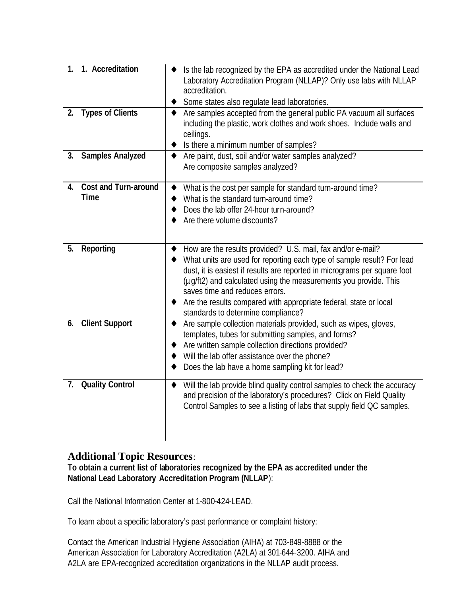| 1 <sub>1</sub> | 1. Accreditation                           | Is the lab recognized by the EPA as accredited under the National Lead<br>Laboratory Accreditation Program (NLLAP)? Only use labs with NLLAP<br>accreditation.<br>Some states also regulate lead laboratories.                                                                                                                                                                                                                      |
|----------------|--------------------------------------------|-------------------------------------------------------------------------------------------------------------------------------------------------------------------------------------------------------------------------------------------------------------------------------------------------------------------------------------------------------------------------------------------------------------------------------------|
| 2.             | <b>Types of Clients</b>                    | Are samples accepted from the general public PA vacuum all surfaces<br>including the plastic, work clothes and work shoes. Include walls and<br>ceilings.<br>Is there a minimum number of samples?                                                                                                                                                                                                                                  |
| 3.             | <b>Samples Analyzed</b>                    | Are paint, dust, soil and/or water samples analyzed?<br>٠<br>Are composite samples analyzed?                                                                                                                                                                                                                                                                                                                                        |
| 4.             | <b>Cost and Turn-around</b><br><b>Time</b> | What is the cost per sample for standard turn-around time?<br>٠<br>What is the standard turn-around time?<br>Does the lab offer 24-hour turn-around?<br>Are there volume discounts?                                                                                                                                                                                                                                                 |
| 5.             | Reporting                                  | How are the results provided? U.S. mail, fax and/or e-mail?<br>What units are used for reporting each type of sample result? For lead<br>dust, it is easiest if results are reported in micrograms per square foot<br>(µg/ft2) and calculated using the measurements you provide. This<br>saves time and reduces errors.<br>Are the results compared with appropriate federal, state or local<br>standards to determine compliance? |
| 6.             | <b>Client Support</b>                      | Are sample collection materials provided, such as wipes, gloves,<br>$\bullet$<br>templates, tubes for submitting samples, and forms?<br>Are written sample collection directions provided?<br>Will the lab offer assistance over the phone?<br>Does the lab have a home sampling kit for lead?                                                                                                                                      |
| 7.             | <b>Quality Control</b>                     | Will the lab provide blind quality control samples to check the accuracy<br>٠<br>and precision of the laboratory's procedures? Click on Field Quality<br>Control Samples to see a listing of labs that supply field QC samples.                                                                                                                                                                                                     |

## **Additional Topic Resources**:

**To obtain a current list of laboratories recognized by the EPA as accredited under the National Lead Laboratory Accreditation Program (NLLAP**):

Call the National Information Center at 1-800-424-LEAD.

To learn about a specific laboratory's past performance or complaint history:

 Contact the American Industrial Hygiene Association (AIHA) at 703-849-8888 or the American Association for Laboratory Accreditation (A2LA) at 301-644-3200. AIHA and A2LA are EPA-recognized accreditation organizations in the NLLAP audit process.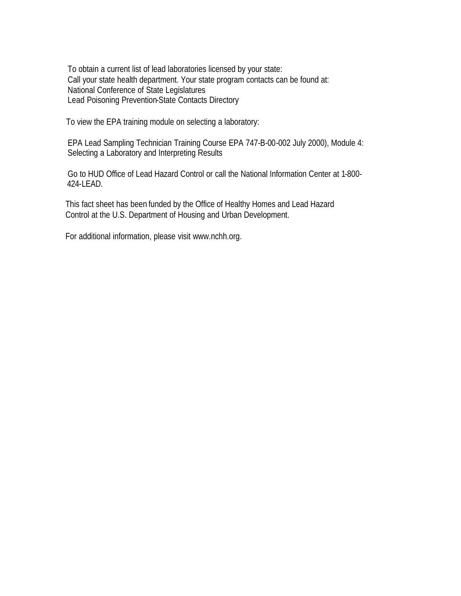To obtain a current list of lead laboratories licensed by your state: Call your state health department. Your state program contacts can be found at: National Conference of State Legislatures Lead Poisoning Prevention-State Contacts Directory

To view the EPA training module on selecting a laboratory:

 EPA Lead Sampling Technician Training Course EPA 747-B-00-002 July 2000), Module 4: Selecting a Laboratory and Interpreting Results

 Go to HUD Office of Lead Hazard Control or call the National Information Center at 1-800- 424-LEAD.

 This fact sheet has been funded by the Office of Healthy Homes and Lead Hazard Control at the U.S. Department of Housing and Urban Development.

For additional information, please visit www.nchh.org.